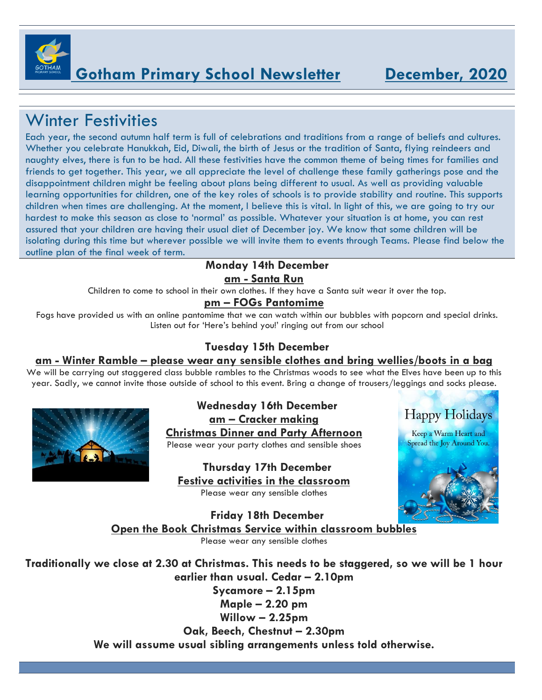

## Winter Festivities

Each year, the second autumn half term is full of celebrations and traditions from a range of beliefs and cultures. Whether you celebrate Hanukkah, Eid, Diwali, the birth of Jesus or the tradition of Santa, flying reindeers and naughty elves, there is fun to be had. All these festivities have the common theme of being times for families and friends to get together. This year, we all appreciate the level of challenge these family gatherings pose and the disappointment children might be feeling about plans being different to usual. As well as providing valuable learning opportunities for children, one of the key roles of schools is to provide stability and routine. This supports children when times are challenging. At the moment, I believe this is vital. In light of this, we are going to try our hardest to make this season as close to 'normal' as possible. Whatever your situation is at home, you can rest assured that your children are having their usual diet of December joy. We know that some children will be isolating during this time but wherever possible we will invite them to events through Teams. Please find below the outline plan of the final week of term.

#### **Monday 14th December am - Santa Run**

Children to come to school in their own clothes. If they have a Santa suit wear it over the top.

#### **pm – FOGs Pantomime**

Fogs have provided us with an online pantomime that we can watch within our bubbles with popcorn and special drinks. Listen out for 'Here's behind you!' ringing out from our school

#### **Tuesday 15th December**

#### **am - Winter Ramble – please wear any sensible clothes and bring wellies/boots in a bag**

We will be carrying out staggered class bubble rambles to the Christmas woods to see what the Elves have been up to this year. Sadly, we cannot invite those outside of school to this event. Bring a change of trousers/leggings and socks please.



**Wednesday 16th December am – Cracker making Christmas Dinner and Party Afternoon**

Please wear your party clothes and sensible shoes

**Thursday 17th December Festive activities in the classroom** Please wear any sensible clothes



**Happy Holidays** 

**Friday 18th December Open the Book Christmas Service within classroom bubbles** Please wear any sensible clothes

**Traditionally we close at 2.30 at Christmas. This needs to be staggered, so we will be 1 hour earlier than usual. Cedar – 2.10pm**

**Sycamore – 2.15pm Maple – 2.20 pm Willow – 2.25pm**

**Oak, Beech, Chestnut – 2.30pm We will assume usual sibling arrangements unless told otherwise.**